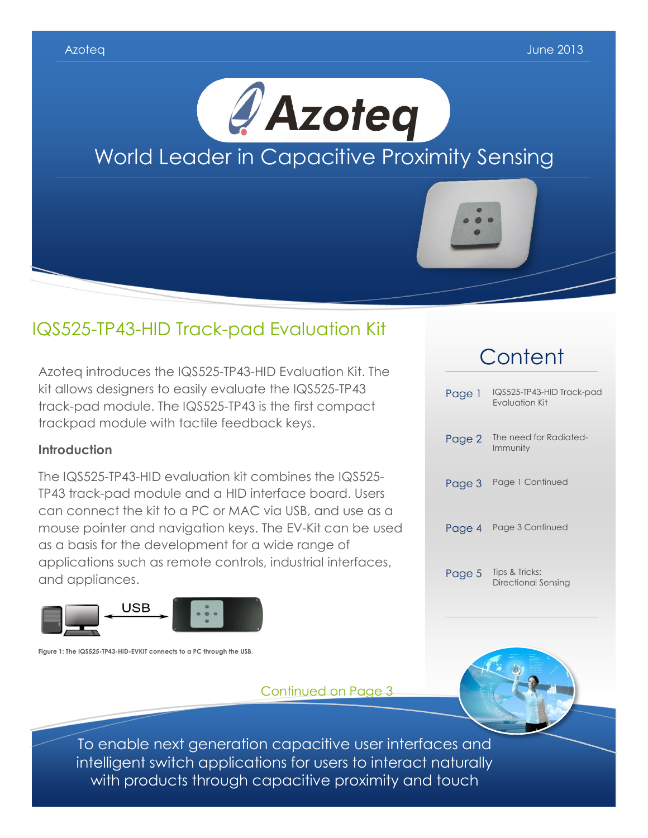

# IQS525-TP43-HID Track-pad Evaluation Kit

Azoteq introduces the IQS525-TP43-HID Evaluation Kit. The kit allows designers to easily evaluate the IQS525-TP43 track-pad module. The IQS525-TP43 is the first compact trackpad module with tactile feedback keys.

### **Introduction**

The IQS525-TP43-HID evaluation kit combines the IQS525- TP43 track-pad module and a HID interface board. Users can connect the kit to a PC or MAC via USB, and use as a mouse pointer and navigation keys. The EV-Kit can be used as a basis for the development for a wide range of applications such as remote controls, industrial interfaces, and appliances.



**Figure 1: The IQS525-TP43-HID-EVKIT connects to a PC through the USB.**

Continued on Page 3



To enable next generation capacitive user interfaces and intelligent switch applications for users to interact naturally with products through capacitive proximity and touch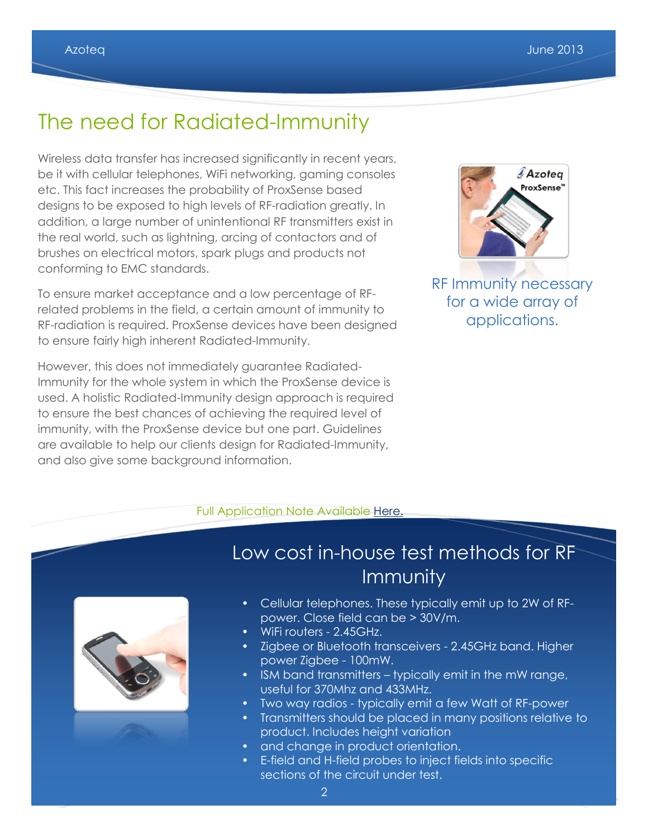# The need for Radiated-Immunity

Wireless data transfer has increased significantly in recent years, be it with cellular telephones, WiFi networking, gaming consoles etc. This fact increases the probability of ProxSense based designs to be exposed to high levels of RF-radiation greatly. In addition, a large number of unintentional RF transmitters exist in the real world, such as lightning, arcing of contactors and of brushes on electrical motors, spark plugs and products not conforming to EMC standards.

To ensure market acceptance and a low percentage of RFrelated problems in the field, a certain amount of immunity to RF-radiation is required. ProxSense devices have been designed to ensure fairly high inherent Radiated-Immunity.

However, this does not immediately guarantee Radiated-Immunity for the whole system in which the ProxSense device is used. A holistic Radiated-Immunity design approach is required to ensure the best chances of achieving the required level of immunity, with the ProxSense device but one part. Guidelines are available to help our clients design for Radiated-Immunity, and also give some background information.



RF Immunity necessary for a wide array of applications.

#### Full Application Note Available [Here.](http://www.azoteq.com/images/stories/pdf/azd015_rf-immunity_guidelines.pdf)



# Low cost in-house test methods for RF **Immunity**

- Cellular telephones. These typically emit up to 2W of RFpower. Close field can be > 30V/m.
- WiFi routers 2.45GHz.
- Zigbee or Bluetooth transceivers 2.45GHz band. Higher power Zigbee - 100mW.
- ISM band transmitters typically emit in the mW range, useful for 370Mhz and 433MHz.
- Two way radios typically emit a few Watt of RF-power
- Transmitters should be placed in many positions relative to product. Includes height variation
- and change in product orientation.
- E-field and H-field probes to inject fields into specific sections of the circuit under test.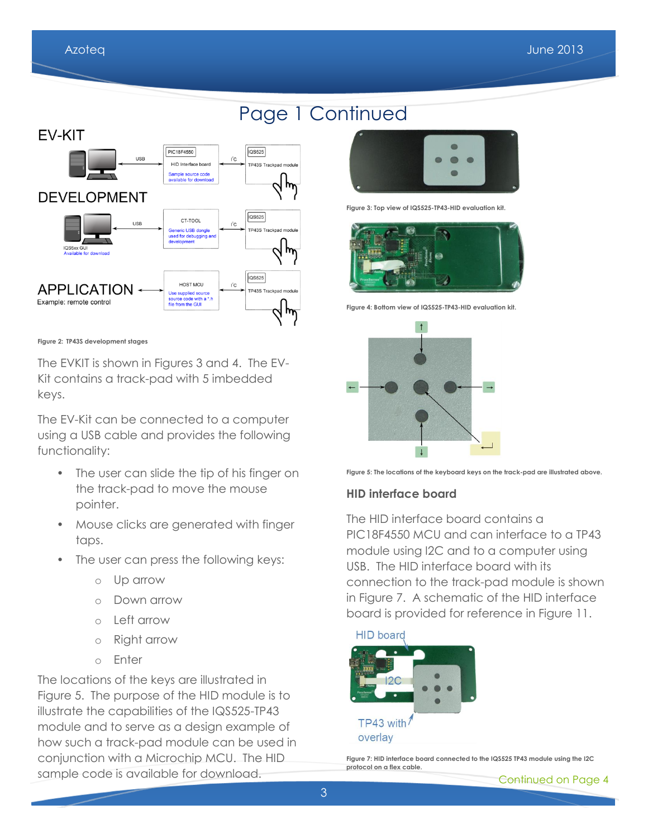# Page 1 Continued



**Figure 2: TP43S development stages**

The EVKIT is shown in Figures 3 and 4. The EV-Kit contains a track-pad with 5 imbedded keys.

The EV-Kit can be connected to a computer using a USB cable and provides the following functionality:

- The user can slide the tip of his finger on the track-pad to move the mouse pointer.
- Mouse clicks are generated with finger taps.
- The user can press the following keys:
	- o Up arrow
	- o Down arrow
	- o Left arrow
	- o Right arrow
	- o Enter

The locations of the keys are illustrated in Figure 5. The purpose of the HID module is to illustrate the capabilities of the IQS525-TP43 module and to serve as a design example of how such a track-pad module can be used in conjunction with a Microchip MCU. The HID sample code is available for download.



**Figure 3: Top view of IQS525-TP43-HID evaluation kit.**



**Figure 4: Bottom view of IQS525-TP43-HID evaluation kit.**



**Figure 5: The locations of the keyboard keys on the track-pad are illustrated above.**

#### **HID interface board**

The HID interface board contains a PIC18F4550 MCU and can interface to a TP43 module using I2C and to a computer using USB. The HID interface board with its connection to the track-pad module is shown in Figure 7. A schematic of the HID interface board is provided for reference in Figure 11.

#### **HID** board



**Figure 7: HID interface board connected to the IQS525 TP43 module using the I2C protocol on a flex cable.**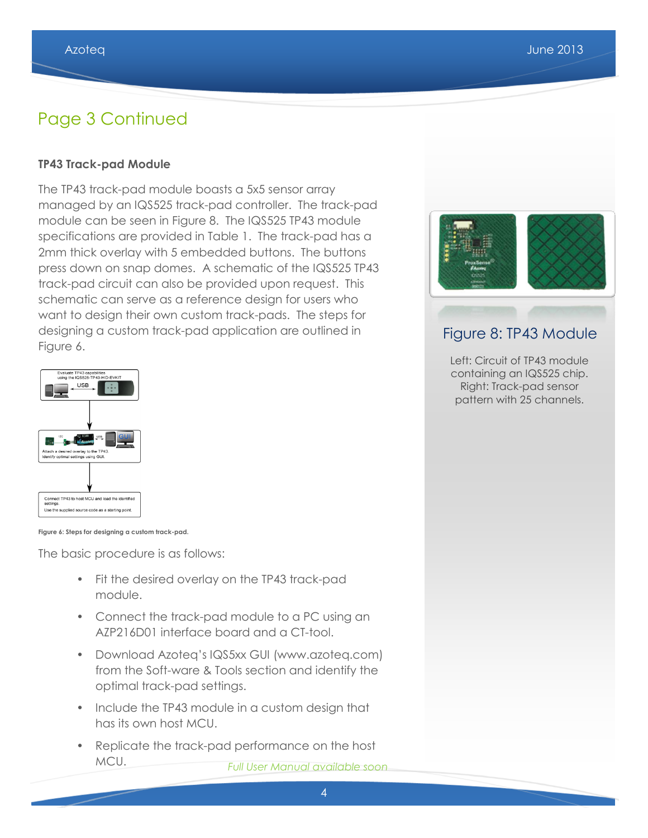## Page 3 Continued

#### **TP43 Track-pad Module**

The TP43 track-pad module boasts a 5x5 sensor array managed by an IQS525 track-pad controller. The track-pad module can be seen in Figure 8. The IQS525 TP43 module specifications are provided in Table 1. The track-pad has a 2mm thick overlay with 5 embedded buttons. The buttons press down on snap domes. A schematic of the IQS525 TP43 track-pad circuit can also be provided upon request. This schematic can serve as a reference design for users who want to design their own custom track-pads. The steps for designing a custom track-pad application are outlined in Figure 6.



**Figure 6: Steps for designing a custom track-pad.**

The basic procedure is as follows:

- Fit the desired overlay on the TP43 track-pad module.
- Connect the track-pad module to a PC using an AZP216D01 interface board and a CT-tool.
- Download Azoteq's IQS5xx GUI (www.azoteq.com) from the Soft-ware & Tools section and identify the optimal track-pad settings.
- Include the TP43 module in a custom design that has its own host MCU.
- Replicate the track-pad performance on the host MCU. *Full User Manual available soon*



### Figure 8: TP43 Module

Left: Circuit of TP43 module containing an IQS525 chip. Right: Track-pad sensor pattern with 25 channels.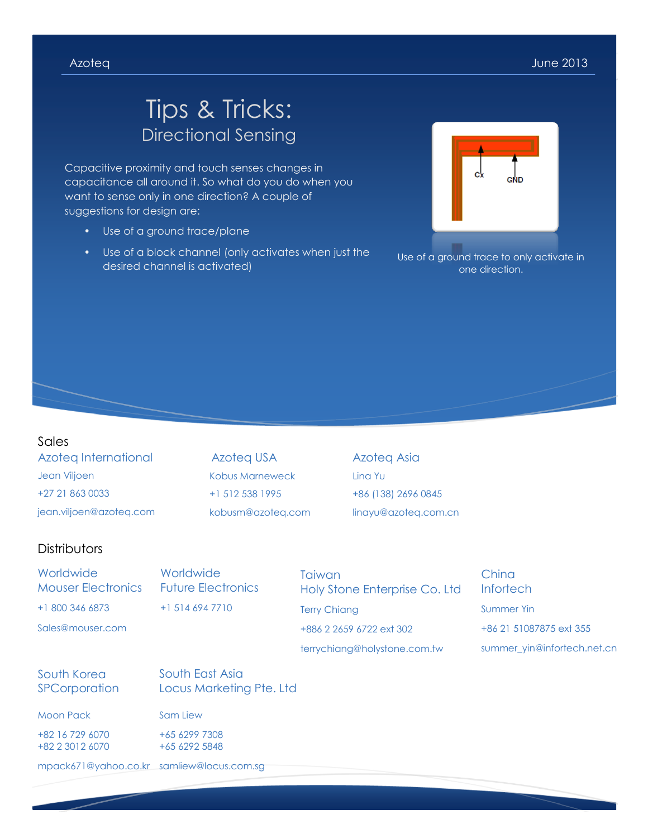# Tips & Tricks: Directional Sensing

Capacitive proximity and touch senses changes in capacitance all around it. So what do you do when you want to sense only in one direction? A couple of suggestions for design are:

- Use of a ground trace/plane
- Use of a block channel (only activates when just the desired channel is activated)



Use of a ground trace to only activate in one direction.

#### Sales

Azoteq International Jean Viljoen +27 21 863 0033 jean.viljoen@azoteq.com

Azoteq USA Kobus Marneweck +1 512 538 1995 kobusm@azoteq.com

Azoteq Asia Lina Yu +86 (138) 2696 0845 linayu@azoteq.com.cn

#### **Distributors**

**Worldwide** Mouser Electronics +1 800 346 6873 Sales@mouser.com **Worldwide** Future Electronics +1 514 694 7710 **Taiwan** Holy Stone Enterprise Co. Ltd Terry Chiang +886 2 2659 6722 ext 302 terrychiang@holystone.com.tw China **Infortech** Summer Yin +86 21 51087875 ext 355 summer\_yin@infortech.net.cn South Korea **SPCorporation** South East Asia Locus Marketing Pte. Ltd

Moon Pack

+82 16 729 6070 +82 2 3012 6070 Sam Liew +65 6299 7308 +65 6292 5848

mpack671@yahoo.co.kr samliew@locus.com.sg